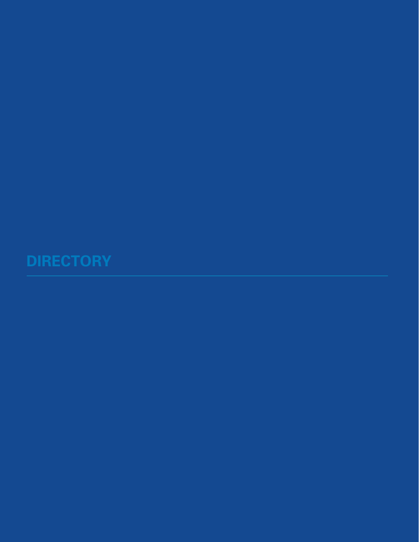## **DIRECTORY**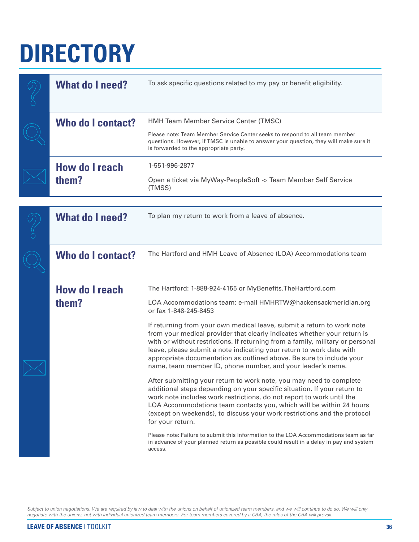## **DIRECTORY**

|  | <b>What do I need?</b>         | To ask specific questions related to my pay or benefit eligibility.                                                                                                                                                                                                                                                                                                                                                                                 |  |
|--|--------------------------------|-----------------------------------------------------------------------------------------------------------------------------------------------------------------------------------------------------------------------------------------------------------------------------------------------------------------------------------------------------------------------------------------------------------------------------------------------------|--|
|  | Who do I contact?              | <b>HMH Team Member Service Center (TMSC)</b>                                                                                                                                                                                                                                                                                                                                                                                                        |  |
|  |                                | Please note: Team Member Service Center seeks to respond to all team member<br>questions. However, if TMSC is unable to answer your question, they will make sure it<br>is forwarded to the appropriate party.                                                                                                                                                                                                                                      |  |
|  | <b>How do I reach</b>          | 1-551-996-2877                                                                                                                                                                                                                                                                                                                                                                                                                                      |  |
|  | them?                          | Open a ticket via MyWay-PeopleSoft -> Team Member Self Service<br>(TMSS)                                                                                                                                                                                                                                                                                                                                                                            |  |
|  |                                |                                                                                                                                                                                                                                                                                                                                                                                                                                                     |  |
|  | <b>What do I need?</b>         | To plan my return to work from a leave of absence.                                                                                                                                                                                                                                                                                                                                                                                                  |  |
|  | <b>Who do I contact?</b>       | The Hartford and HMH Leave of Absence (LOA) Accommodations team                                                                                                                                                                                                                                                                                                                                                                                     |  |
|  | <b>How do I reach</b><br>them? | The Hartford: 1-888-924-4155 or MyBenefits. The Hartford.com                                                                                                                                                                                                                                                                                                                                                                                        |  |
|  |                                | LOA Accommodations team: e-mail HMHRTW@hackensackmeridian.org<br>or fax 1-848-245-8453                                                                                                                                                                                                                                                                                                                                                              |  |
|  |                                | If returning from your own medical leave, submit a return to work note<br>from your medical provider that clearly indicates whether your return is<br>with or without restrictions. If returning from a family, military or personal<br>leave, please submit a note indicating your return to work date with<br>appropriate documentation as outlined above. Be sure to include your<br>name, team member ID, phone number, and your leader's name. |  |
|  |                                | After submitting your return to work note, you may need to complete<br>additional steps depending on your specific situation. If your return to<br>work note includes work restrictions, do not report to work until the<br>LOA Accommodations team contacts you, which will be within 24 hours<br>(except on weekends), to discuss your work restrictions and the protocol<br>for your return.                                                     |  |
|  |                                | Please note: Failure to submit this information to the LOA Accommodations team as far<br>in advance of your planned return as possible could result in a delay in pay and system<br>access.                                                                                                                                                                                                                                                         |  |

*Subject to union negotiations. We are required by law to deal with the unions on behalf of unionized team members, and we will continue to do so. We will only negotiate with the unions, not with individual unionized team members. For team members covered by a CBA, the rules of the CBA will prevail.*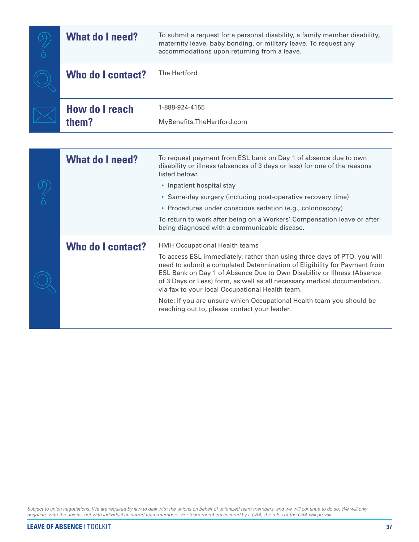| <b>What do I need?</b>         | To submit a request for a personal disability, a family member disability,<br>maternity leave, baby bonding, or military leave. To request any<br>accommodations upon returning from a leave. |  |
|--------------------------------|-----------------------------------------------------------------------------------------------------------------------------------------------------------------------------------------------|--|
| <b>Who do I contact?</b>       | The Hartford                                                                                                                                                                                  |  |
| <b>How do I reach</b><br>them? | 1-888-924-4155<br>MyBenefits.TheHartford.com                                                                                                                                                  |  |

| <b>What do I need?</b> | To request payment from ESL bank on Day 1 of absence due to own<br>disability or illness (absences of 3 days or less) for one of the reasons<br>listed below:<br>• Inpatient hospital stay<br>• Same-day surgery (including post-operative recovery time)<br>• Procedures under conscious sedation (e.g., colonoscopy)<br>To return to work after being on a Workers' Compensation leave or after<br>being diagnosed with a communicable disease.                                                                             |
|------------------------|-------------------------------------------------------------------------------------------------------------------------------------------------------------------------------------------------------------------------------------------------------------------------------------------------------------------------------------------------------------------------------------------------------------------------------------------------------------------------------------------------------------------------------|
| Who do I contact?      | <b>HMH Occupational Health teams</b><br>To access ESL immediately, rather than using three days of PTO, you will<br>need to submit a completed Determination of Eligibility for Payment from<br>ESL Bank on Day 1 of Absence Due to Own Disability or Illness (Absence<br>of 3 Days or Less) form, as well as all necessary medical documentation,<br>via fax to your local Occupational Health team.<br>Note: If you are unsure which Occupational Health team you should be<br>reaching out to, please contact your leader. |

*Subject to union negotiations. We are required by law to deal with the unions on behalf of unionized team members, and we will continue to do so. We will only negotiate with the unions, not with individual unionized team members. For team members covered by a CBA, the rules of the CBA will prevail.*